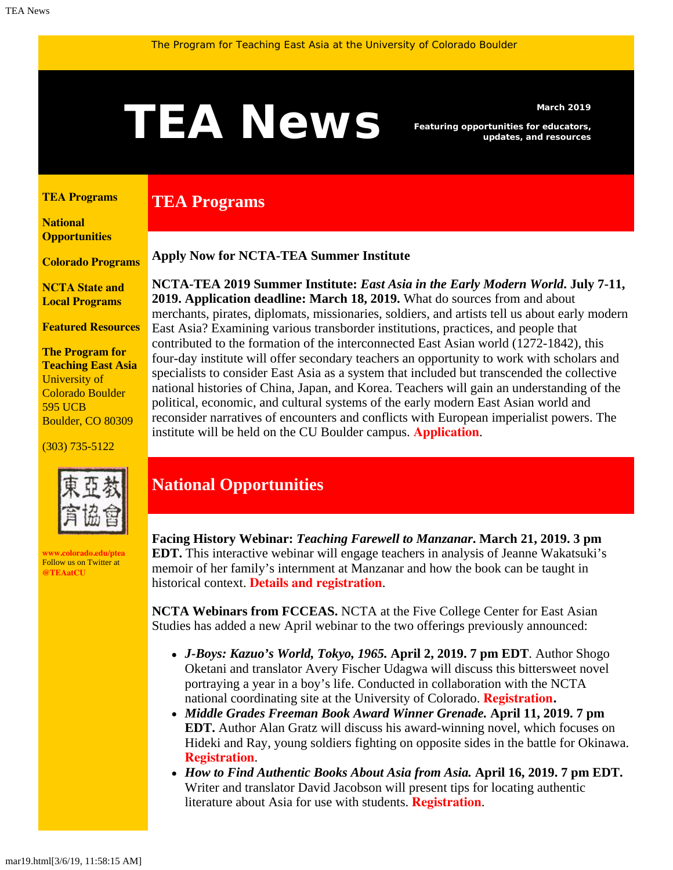# <span id="page-0-1"></span>March 2019<br>**TEAN EWS** Featuring opportunities for educators,<br>updates, and resources

**TEA Programs**

*Featuring opportunities for educators, updates, and resources*

#### <span id="page-0-0"></span>**[TEA Programs](#page-0-0)**

**[National](#page-0-1)  [Opportunities](#page-0-1)**

**[Colorado Programs](#page-0-1)**

**[NCTA State and](#page-2-0) [Local Programs](#page-2-0)**

**[Featured Resources](#page-2-1)**

**The Program for Teaching East Asia** University of Colorado Boulder 595 UCB Boulder, CO 80309

#### (303) 735-5122



**[www.colorado.edu/ptea](http://www.colorado.edu/cas/tea)** Follow us on Twitter at **[@TEAatCU](https://twitter.com/TEAatCU)**

### **Apply Now for NCTA-TEA Summer Institute**

**NCTA-TEA 2019 Summer Institute:** *East Asia in the Early Modern World***. July 7-11, 2019. Application deadline: March 18, 2019.** What do sources from and about merchants, pirates, diplomats, missionaries, soldiers, and artists tell us about early modern East Asia? Examining various transborder institutions, practices, and people that contributed to the formation of the interconnected East Asian world (1272-1842), this four-day institute will offer secondary teachers an opportunity to work with scholars and specialists to consider East Asia as a system that included but transcended the collective national histories of China, Japan, and Korea. Teachers will gain an understanding of the political, economic, and cultural systems of the early modern East Asian world and reconsider narratives of encounters and conflicts with European imperialist powers. The institute will be held on the CU Boulder campus. **[Application](https://www.colorado.edu/ptea/sites/default/files/attached-files/si19application_fillable.pdf)**.

## **National Opportunities**

**Facing History Webinar:** *Teaching Farewell to Manzanar***. March 21, 2019. 3 pm EDT.** This interactive webinar will engage teachers in analysis of Jeanne Wakatsuki's memoir of her family's internment at Manzanar and how the book can be taught in historical context. **[Details and registration](https://www.facinghistory.org/calendar/web2019nat7-teaching-farewell-manzanar-memoir-japanese-internment)**.

**NCTA Webinars from FCCEAS.** NCTA at the Five College Center for East Asian Studies has added a new April webinar to the two offerings previously announced:

- *J-Boys: Kazuo's World, Tokyo, 1965.* **April 2, 2019. 7 pm EDT**. Author Shogo Oketani and translator Avery Fischer Udagwa will discuss this bittersweet novel portraying a year in a boy's life. Conducted in collaboration with the NCTA national coordinating site at the University of Colorado. **[Registration.](https://register.gotowebinar.com/register/7147882607747609603)**
- *Middle Grades Freeman Book Award Winner Grenade.* **April 11, 2019. 7 pm EDT.** Author Alan Gratz will discuss his award-winning novel, which focuses on Hideki and Ray, young soldiers fighting on opposite sides in the battle for Okinawa. **[Registration](https://register.gotowebinar.com/register/7258607824323723265)**.
- *How to Find Authentic Books About Asia from Asia.* **April 16, 2019. 7 pm EDT.** Writer and translator David Jacobson will present tips for locating authentic literature about Asia for use with students. **[Registration](https://register.gotowebinar.com/register/6831318916595799554)**.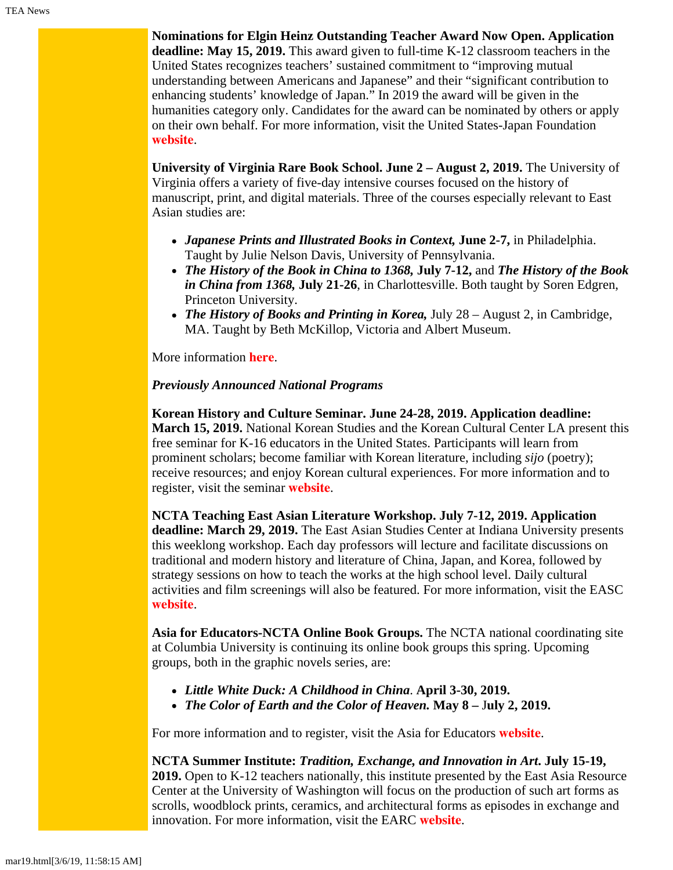**Nominations for Elgin Heinz Outstanding Teacher Award Now Open. Application deadline: May 15, 2019.** This award given to full-time K-12 classroom teachers in the United States recognizes teachers' sustained commitment to "improving mutual understanding between Americans and Japanese" and their "significant contribution to enhancing students' knowledge of Japan." In 2019 the award will be given in the humanities category only. Candidates for the award can be nominated by others or apply on their own behalf. For more information, visit the United States-Japan Foundation **[website](https://us-jf.org/programs/elgin-heinz-teacher-awards/)**.

**University of Virginia Rare Book School. June 2 – August 2, 2019.** The University of Virginia offers a variety of five-day intensive courses focused on the history of manuscript, print, and digital materials. Three of the courses especially relevant to East Asian studies are:

- *Japanese Prints and Illustrated Books in Context,* **June 2-7,** in Philadelphia. Taught by Julie Nelson Davis, University of Pennsylvania.
- *The History of the Book in China to 1368,* **July 7-12,** and *The History of the Book in China from 1368,* **July 21-26**, in Charlottesville. Both taught by Soren Edgren, Princeton University.
- *The History of Books and Printing in Korea,* July 28 August 2, in Cambridge, MA. Taught by Beth McKillop, Victoria and Albert Museum.

More information **[here](http://www.rarebookschool.org/)**.

### *Previously Announced National Programs*

**Korean History and Culture Seminar. June 24-28, 2019. Application deadline: March 15, 2019.** National Korean Studies and the Korean Cultural Center LA present this free seminar for K-16 educators in the United States. Participants will learn from prominent scholars; become familiar with Korean literature, including *sijo* (poetry); receive resources; and enjoy Korean cultural experiences. For more information and to register, visit the seminar **[website](http://koreanseminar.org/register)**.

**NCTA Teaching East Asian Literature Workshop. July 7-12, 2019. Application deadline: March 29, 2019.** The East Asian Studies Center at Indiana University presents this weeklong workshop. Each day professors will lecture and facilitate discussions on traditional and modern history and literature of China, Japan, and Korea, followed by strategy sessions on how to teach the works at the high school level. Daily cultural activities and film screenings will also be featured. For more information, visit the EASC **[website](https://easc.indiana.edu/programs/ncta-programs/ncta-summer-literature-workshop.html)**.

**Asia for Educators-NCTA Online Book Groups.** The NCTA national coordinating site at Columbia University is continuing its online book groups this spring. Upcoming groups, both in the graphic novels series, are:

- *Little White Duck: A Childhood in China*. **April 3-30, 2019.**
- *The Color of Earth and the Color of Heaven.* **May 8 –** J**uly 2, 2019.**

For more information and to register, visit the Asia for Educators **[website](http://asiaforeducators.org/course/index.php?categoryid=41)**.

**NCTA Summer Institute:** *Tradition, Exchange, and Innovation in Art***. July 15-19, 2019.** Open to K-12 teachers nationally, this institute presented by the East Asia Resource Center at the University of Washington will focus on the production of such art forms as scrolls, woodblock prints, ceramics, and architectural forms as episodes in exchange and innovation. For more information, visit the EARC **[website](https://jsis.washington.edu/earc/tradition-exchange-and-innovation-in-art-an-introduction-to-east-asian-visual-culture-and-beyond/)**.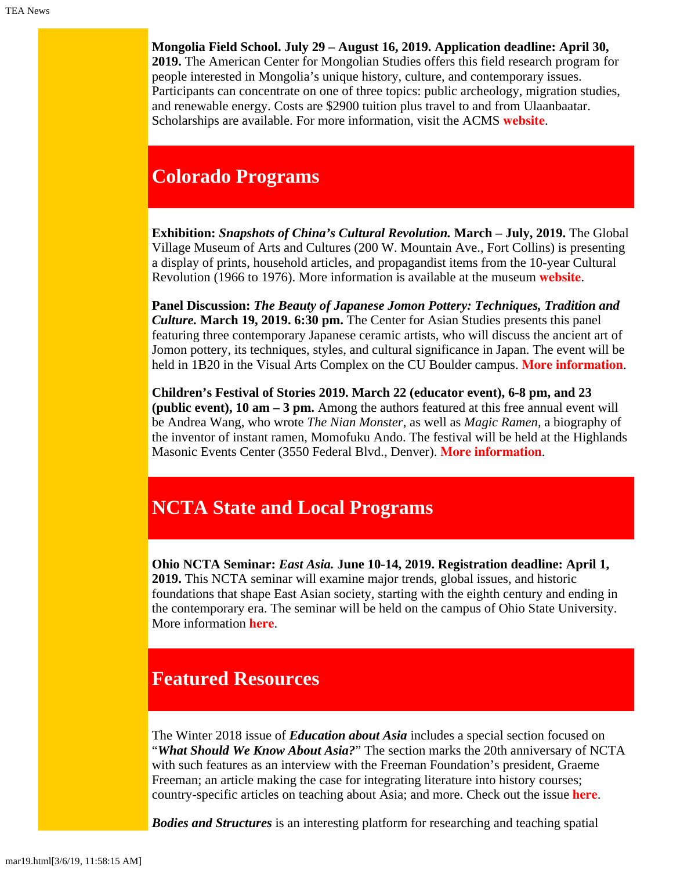**Mongolia Field School. July 29 – August 16, 2019. Application deadline: April 30,**

**2019.** The American Center for Mongolian Studies offers this field research program for people interested in Mongolia's unique history, culture, and contemporary issues. Participants can concentrate on one of three topics: public archeology, migration studies, and renewable energy. Costs are \$2900 tuition plus travel to and from Ulaanbaatar. Scholarships are available. For more information, visit the ACMS **[website](https://www.mongoliacenter.org/acms-mongolia-field-school-2019/)**.

# **Colorado Programs**

**Exhibition:** *Snapshots of China's Cultural Revolution.* **March – July, 2019.** The Global Village Museum of Arts and Cultures (200 W. Mountain Ave., Fort Collins) is presenting a display of prints, household articles, and propagandist items from the 10-year Cultural Revolution (1966 to 1976). More information is available at the museum **[website](http://globalvillagemuseum.org/)**.

**Panel Discussion:** *The Beauty of Japanese Jomon Pottery: Techniques, Tradition and Culture.* **March 19, 2019. 6:30 pm.** The Center for Asian Studies presents this panel featuring three contemporary Japanese ceramic artists, who will discuss the ancient art of Jomon pottery, its techniques, styles, and cultural significance in Japan. The event will be held in 1B20 in the Visual Arts Complex on the CU Boulder campus. **[More information](https://www.colorado.edu/cas/beauty-japanese-jomon-pottery-techniques-tradition-and-culture-20190319)**.

**Children's Festival of Stories 2019. March 22 (educator event), 6-8 pm, and 23 (public event), 10 am – 3 pm.** Among the authors featured at this free annual event will be Andrea Wang, who wrote *The Nian Monster*, as well as *Magic Ramen,* a biography of the inventor of instant ramen, Momofuku Ando. The festival will be held at the Highlands Masonic Events Center (3550 Federal Blvd., Denver). **[More information](https://www.denvercfos.com/)**.

# <span id="page-2-0"></span>**NCTA State and Local Programs**

**Ohio NCTA Seminar:** *East Asia.* **June 10-14, 2019. Registration deadline: April 1, 2019.** This NCTA seminar will examine major trends, global issues, and historic foundations that shape East Asian society, starting with the eighth century and ending in the contemporary era. The seminar will be held on the campus of Ohio State University. More information **[here](https://easc.osu.edu/ncta)**.

# <span id="page-2-1"></span>**Featured Resources**

The Winter 2018 issue of *Education about Asia* includes a special section focused on "*What Should We Know About Asia?*" The section marks the 20th anniversary of NCTA with such features as an interview with the Freeman Foundation's president, Graeme Freeman; an article making the case for integrating literature into history courses; country-specific articles on teaching about Asia; and more. Check out the issue **[here](http://www.asian-studies.org/asia-now/entryid/189)**.

*Bodies and Structures* is an interesting platform for researching and teaching spatial